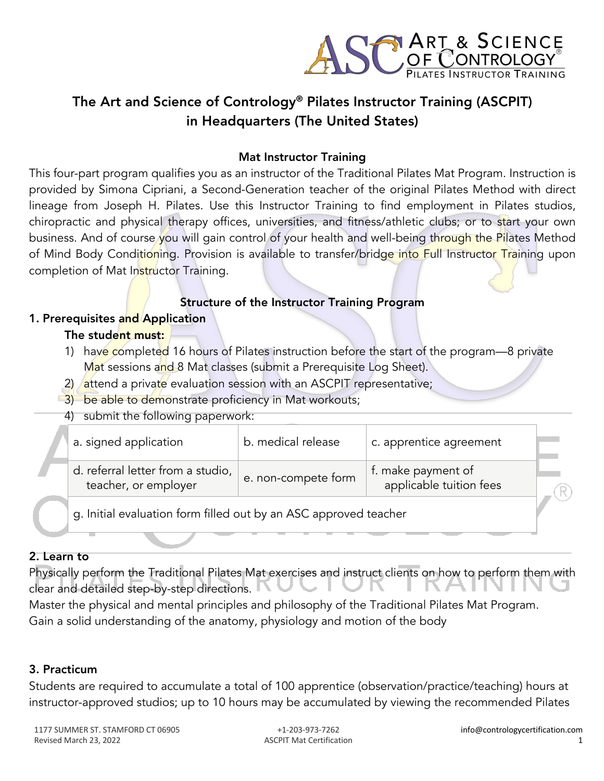

# The Art and Science of Contrology® Pilates Instructor Training (ASCPIT) in Headquarters (The United States)

#### Mat Instructor Training

This four-part program qualifies you as an instructor of the Traditional Pilates Mat Program. Instruction is provided by Simona Cipriani, a Second-Generation teacher of the original Pilates Method with direct lineage from Joseph H. Pilates. Use this Instructor Training to find employment in Pilates studios, chiropractic and physical therapy offices, universities, and fitness/athletic clubs; or to start your own business. And of course you will gain control of your health and well-being through the Pilates Method of Mind Body Conditioning. Provision is available to transfer/bridge into Full Instructor Training upon completion of Mat Instructor Training.

# Structure of the Instructor Training Program

### 1. Prerequisites and Application

#### The student must:

- 1) have completed 16 hours of Pilates instruction before the start of the program—8 private Mat sessions and 8 Mat classes (submit a Prerequisite Log Sheet).
- 2) attend a private evaluation session with an ASCPIT representative;
- 3) be able to demonstrate proficiency in Mat workouts;
	- 4) submit the following paperwork:

| sabilite the following paper work.                               |                     |                                               |  |  |
|------------------------------------------------------------------|---------------------|-----------------------------------------------|--|--|
| a. signed application                                            | b. medical release  | c. apprentice agreement                       |  |  |
| d. referral letter from a studio,<br>teacher, or employer        | e. non-compete form | f. make payment of<br>applicable tuition fees |  |  |
| g. Initial evaluation form filled out by an ASC approved teacher |                     |                                               |  |  |

### 2. Learn to

Physically perform the Traditional Pilates Mat exercises and instruct clients on how to perform them with clear and detailed step-by-step directions.

Master the physical and mental principles and philosophy of the Traditional Pilates Mat Program. Gain a solid understanding of the anatomy, physiology and motion of the body

### 3. Practicum

Students are required to accumulate a total of 100 apprentice (observation/practice/teaching) hours at instructor-approved studios; up to 10 hours may be accumulated by viewing the recommended Pilates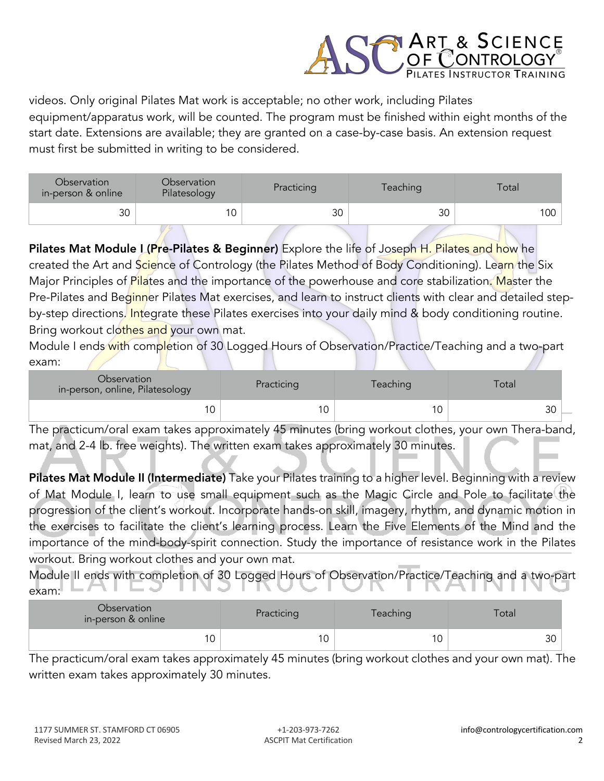

videos. Only original Pilates Mat work is acceptable; no other work, including Pilates equipment/apparatus work, will be counted. The program must be finished within eight months of the start date. Extensions are available; they are granted on a case-by-case basis. An extension request must first be submitted in writing to be considered.

| Observation<br>in-person & online | <b>Observation</b><br>Pilatesology | Practicing | Teaching | Total |
|-----------------------------------|------------------------------------|------------|----------|-------|
| $\Omega$<br>υc                    | 1 C                                | 30         | 30       | 100   |

Pilates Mat Module L(Pre-Pilates & Beginner) Explore the life of Joseph H. Pilates and how he created the Art and Science of Contrology (the Pilates Method of Body Conditioning). Learn the Six Major Principles of Pilates and the importance of the powerhouse and core stabilization. Master the Pre-Pilates and Beginner Pilates Mat exercises, and learn to instruct clients with clear and detailed stepby-step directions. Integrate these Pilates exercises into your daily mind & body conditioning routine. Bring workout clothes and your own mat.

Module I ends with completion of 30 Logged Hours of Observation/Practice/Teaching and a two-part exam:

| Observation<br>in-person, online, Pilatesology | Practicing | <b>Teaching</b> | otal          |  |
|------------------------------------------------|------------|-----------------|---------------|--|
|                                                | 10         |                 | $\sim$<br>3U. |  |

The practicum/oral exam takes approximately 45 minutes (bring workout clothes, your own Thera-band, mat, and 2-4 lb. free weights). The written exam takes approximately 30 minutes.

Pilates Mat Module II (Intermediate) Take your Pilates training to a higher level. Beginning with a review of Mat Module I, learn to use small equipment such as the Magic Circle and Pole to facilitate the progression of the client's workout. Incorporate hands-on skill, imagery, rhythm, and dynamic motion in the exercises to facilitate the client's learning process. Learn the Five Elements of the Mind and the importance of the mind-body-spirit connection. Study the importance of resistance work in the Pilates workout. Bring workout clothes and your own mat.

Module II ends with completion of 30 Logged Hours of Observation/Practice/Teaching and a two-part exam:

| Observation<br>Practicing<br>in-person & online |  | Teaching | Total |
|-------------------------------------------------|--|----------|-------|
|                                                 |  |          | 30    |

The practicum/oral exam takes approximately 45 minutes (bring workout clothes and your own mat). The written exam takes approximately 30 minutes.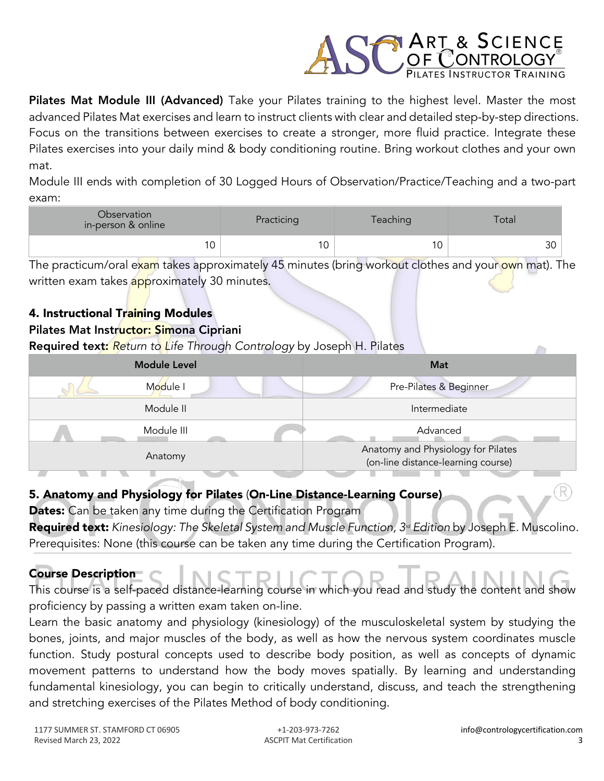

Pilates Mat Module III (Advanced) Take your Pilates training to the highest level. Master the most advanced Pilates Mat exercises and learn to instruct clients with clear and detailed step-by-step directions. Focus on the transitions between exercises to create a stronger, more fluid practice. Integrate these Pilates exercises into your daily mind & body conditioning routine. Bring workout clothes and your own mat.

Module III ends with completion of 30 Logged Hours of Observation/Practice/Teaching and a two-part exam:

| Observation<br>in-person & online | Practicing | Teaching | Total |
|-----------------------------------|------------|----------|-------|
|                                   | $\sim$     |          | 30    |

The practicum/oral exam takes approximately 45 minutes (bring workout clothes and your own mat). The written exam takes approximately 30 minutes.

# 4. Instructional Training Modules

# Pilates Mat Instructor: Simona Cipriani

Required text: *Return to Life Through Contrology* by Joseph H. Pilates

| <b>Module Level</b> | Mat                                                                      |
|---------------------|--------------------------------------------------------------------------|
| Module I            | Pre-Pilates & Beginner                                                   |
| Module II           | Intermediate                                                             |
| Module III          | Advanced                                                                 |
| Anatomy             | Anatomy and Physiology for Pilates<br>(on-line distance-learning course) |

### 5. Anatomy and Physiology for Pilates (On-Line Distance-Learning Course)

Dates: Can be taken any time during the Certification Program

Required text: *Kinesiology: The Skeletal System and Muscle Function, 3<sup>rd</sup> Edition by Joseph E. Muscolino.* Prerequisites: None (this course can be taken any time during the Certification Program).

# Course Description This course is a self-paced distance-learning course in which you read and study the content and show

proficiency by passing a written exam taken on-line.

Learn the basic anatomy and physiology (kinesiology) of the musculoskeletal system by studying the bones, joints, and major muscles of the body, as well as how the nervous system coordinates muscle function. Study postural concepts used to describe body position, as well as concepts of dynamic movement patterns to understand how the body moves spatially. By learning and understanding fundamental kinesiology, you can begin to critically understand, discuss, and teach the strengthening and stretching exercises of the Pilates Method of body conditioning.

 $\sqrt{}$ 

R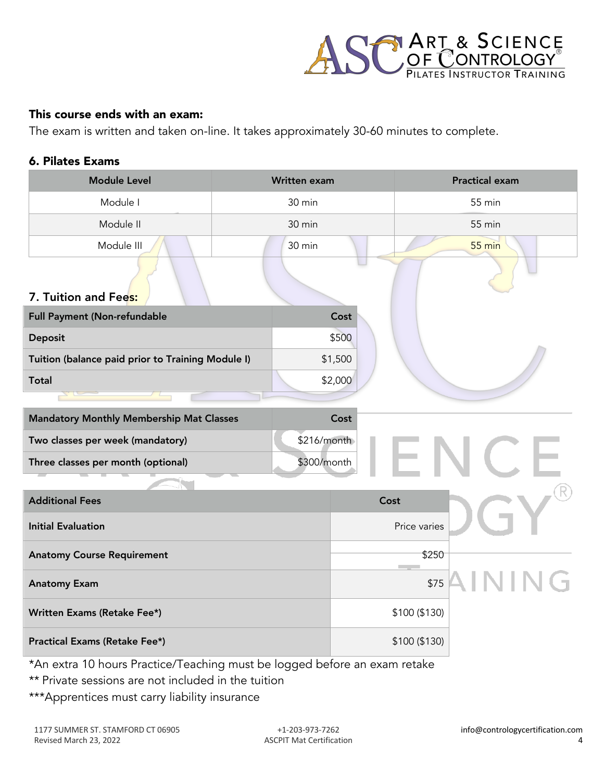

#### This course ends with an exam:

The exam is written and taken on-line. It takes approximately 30-60 minutes to complete.

#### 6. Pilates Exams

| <b>Module Level</b>                               | Written exam |         |                                   | <b>Practical exam</b> |
|---------------------------------------------------|--------------|---------|-----------------------------------|-----------------------|
| Module I                                          | 30 min       |         |                                   | 55 min                |
| Module II                                         | 30 min       |         |                                   | 55 min                |
| Module III                                        | 30 min       |         |                                   | $55 \text{ min}$      |
| 7. Tuition and Fees:                              |              |         |                                   |                       |
| Full Payment (Non-refundable                      |              | Cost    |                                   |                       |
| Deposit                                           |              | \$500   |                                   |                       |
| Tuition (balance paid prior to Training Module I) |              | \$1,500 |                                   |                       |
| <b>Total</b>                                      |              | \$2,000 |                                   |                       |
|                                                   |              |         |                                   |                       |
| <b>Mandatory Monthly Membership Mat Classes</b>   |              | Cost    |                                   |                       |
| Two classes per week (mandatory)                  | \$216/month  |         |                                   |                       |
| Three classes per month (optional)                | \$300/month  |         |                                   |                       |
|                                                   |              |         |                                   |                       |
| <b>Additional Fees</b>                            |              | Cost    |                                   |                       |
| <b>Initial Evaluation</b>                         |              |         | Price varies                      |                       |
| <b>Anatomy Course Requirement</b>                 |              |         | \$250<br><b>Contract Contract</b> |                       |
| <b>Anatomy Exam</b>                               |              |         | \$75                              |                       |
| Written Exams (Retake Fee*)                       |              |         | \$100 (\$130)                     |                       |
| Practical Exams (Retake Fee*)                     |              |         | \$100 (\$130)                     |                       |

\*An extra 10 hours Practice/Teaching must be logged before an exam retake

- \*\* Private sessions are not included in the tuition
- \*\*\*Apprentices must carry liability insurance